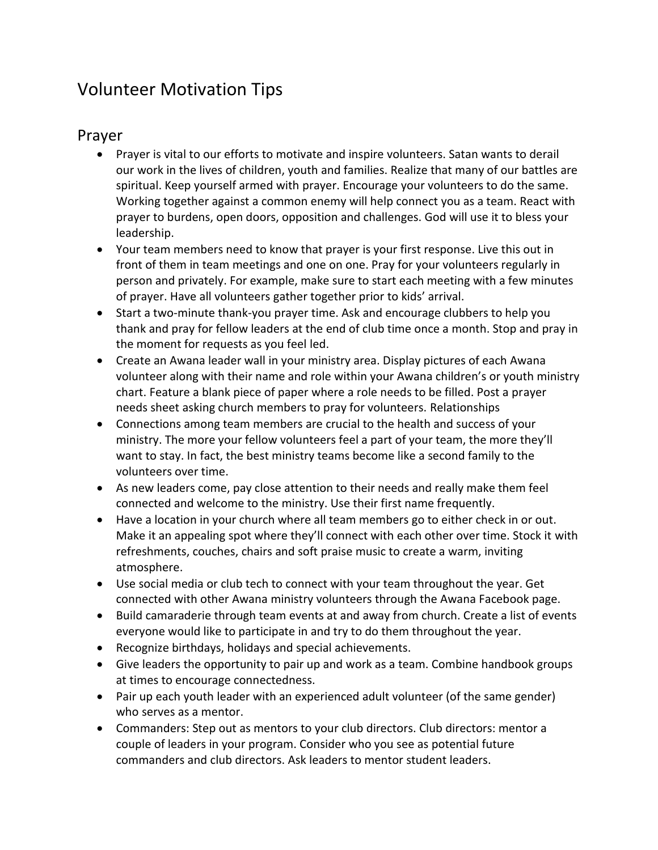# Volunteer Motivation Tips

#### Prayer

- Prayer is vital to our efforts to motivate and inspire volunteers. Satan wants to derail our work in the lives of children, youth and families. Realize that many of our battles are spiritual. Keep yourself armed with prayer. Encourage your volunteers to do the same. Working together against a common enemy will help connect you as a team. React with prayer to burdens, open doors, opposition and challenges. God will use it to bless your leadership.
- Your team members need to know that prayer is your first response. Live this out in front of them in team meetings and one on one. Pray for your volunteers regularly in person and privately. For example, make sure to start each meeting with a few minutes of prayer. Have all volunteers gather together prior to kids' arrival.
- Start a two-minute thank-you prayer time. Ask and encourage clubbers to help you thank and pray for fellow leaders at the end of club time once a month. Stop and pray in the moment for requests as you feel led.
- Create an Awana leader wall in your ministry area. Display pictures of each Awana volunteer along with their name and role within your Awana children's or youth ministry chart. Feature a blank piece of paper where a role needs to be filled. Post a prayer needs sheet asking church members to pray for volunteers. Relationships
- Connections among team members are crucial to the health and success of your ministry. The more your fellow volunteers feel a part of your team, the more they'll want to stay. In fact, the best ministry teams become like a second family to the volunteers over time.
- As new leaders come, pay close attention to their needs and really make them feel connected and welcome to the ministry. Use their first name frequently.
- Have a location in your church where all team members go to either check in or out. Make it an appealing spot where they'll connect with each other over time. Stock it with refreshments, couches, chairs and soft praise music to create a warm, inviting atmosphere.
- Use social media or club tech to connect with your team throughout the year. Get connected with other Awana ministry volunteers through the Awana Facebook page.
- Build camaraderie through team events at and away from church. Create a list of events everyone would like to participate in and try to do them throughout the year.
- Recognize birthdays, holidays and special achievements.
- Give leaders the opportunity to pair up and work as a team. Combine handbook groups at times to encourage connectedness.
- Pair up each youth leader with an experienced adult volunteer (of the same gender) who serves as a mentor.
- Commanders: Step out as mentors to your club directors. Club directors: mentor a couple of leaders in your program. Consider who you see as potential future commanders and club directors. Ask leaders to mentor student leaders.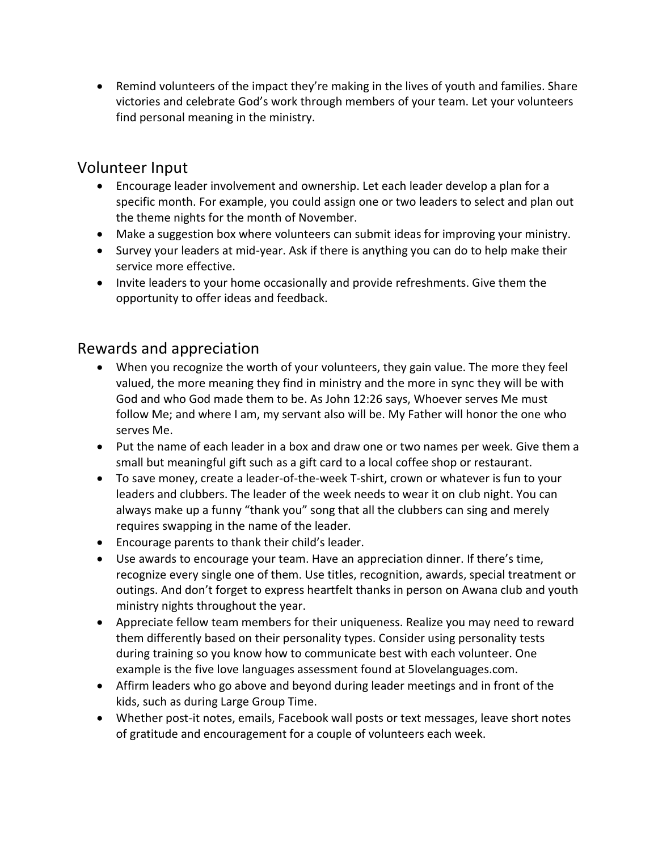• Remind volunteers of the impact they're making in the lives of youth and families. Share victories and celebrate God's work through members of your team. Let your volunteers find personal meaning in the ministry.

### Volunteer Input

- Encourage leader involvement and ownership. Let each leader develop a plan for a specific month. For example, you could assign one or two leaders to select and plan out the theme nights for the month of November.
- Make a suggestion box where volunteers can submit ideas for improving your ministry.
- Survey your leaders at mid-year. Ask if there is anything you can do to help make their service more effective.
- Invite leaders to your home occasionally and provide refreshments. Give them the opportunity to offer ideas and feedback.

## Rewards and appreciation

- When you recognize the worth of your volunteers, they gain value. The more they feel valued, the more meaning they find in ministry and the more in sync they will be with God and who God made them to be. As John 12:26 says, Whoever serves Me must follow Me; and where I am, my servant also will be. My Father will honor the one who serves Me.
- Put the name of each leader in a box and draw one or two names per week. Give them a small but meaningful gift such as a gift card to a local coffee shop or restaurant.
- To save money, create a leader-of-the-week T-shirt, crown or whatever is fun to your leaders and clubbers. The leader of the week needs to wear it on club night. You can always make up a funny "thank you" song that all the clubbers can sing and merely requires swapping in the name of the leader.
- Encourage parents to thank their child's leader.
- Use awards to encourage your team. Have an appreciation dinner. If there's time, recognize every single one of them. Use titles, recognition, awards, special treatment or outings. And don't forget to express heartfelt thanks in person on Awana club and youth ministry nights throughout the year.
- Appreciate fellow team members for their uniqueness. Realize you may need to reward them differently based on their personality types. Consider using personality tests during training so you know how to communicate best with each volunteer. One example is the five love languages assessment found at 5lovelanguages.com.
- Affirm leaders who go above and beyond during leader meetings and in front of the kids, such as during Large Group Time.
- Whether post-it notes, emails, Facebook wall posts or text messages, leave short notes of gratitude and encouragement for a couple of volunteers each week.